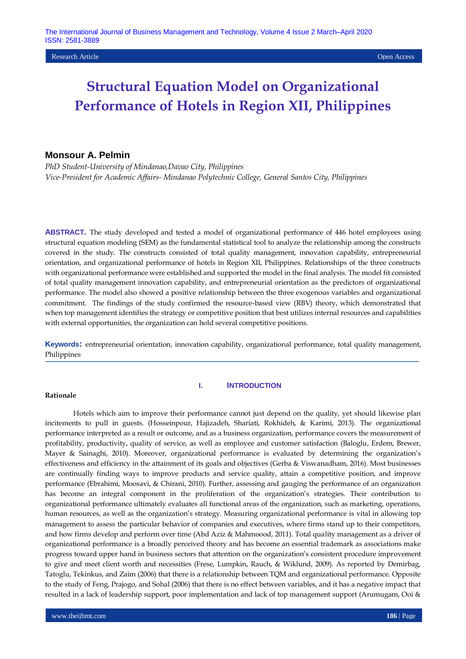**Research Article Open Access Open Access Open Access Open Access Open Access Open Access Open Access Open Access** 

# **Structural Equation Model on Organizational Performance of Hotels in Region XII, Philippines**

# **Monsour A. Pelmin**

*PhD Student-University of Mindanao,Davao City, Philippines Vice-President for Academic Affairs- Mindanao Polytechnic College, General Santos City, Philippines*

**ABSTRACT.** The study developed and tested a model of organizational performance of 446 hotel employees using structural equation modeling (SEM) as the fundamental statistical tool to analyze the relationship among the constructs covered in the study. The constructs consisted of total quality management, innovation capability, entrepreneurial orientation, and organizational performance of hotels in Region XII, Philippines. Relationships of the three constructs with organizational performance were established and supported the model in the final analysis. The model fit consisted of total quality management innovation capability, and entrepreneurial orientation as the predictors of organizational performance. The model also showed a positive relationship between the three exogenous variables and organizational commitment. The findings of the study confirmed the resource-based view (RBV) theory, which demonstrated that when top management identifies the strategy or competitive position that best utilizes internal resources and capabilities with external opportunities, the organization can hold several competitive positions.

**Keywords:** entrepreneurial orientation, innovation capability, organizational performance, total quality management, Philippines

### **Rationale**

### **I. INTRODUCTION**

Hotels which aim to improve their performance cannot just depend on the quality, yet should likewise plan incitements to pull in guests. (Hosseinpour, Hajizadeh, Shariati, Rokhideh, & Karimi, 2013). The organizational performance interpreted as a result or outcome, and as a business organization, performance covers the measurement of profitability, productivity, quality of service, as well as employee and customer satisfaction (Baloglu, Erdem, Brewer, Mayer & Sainaghi, 2010). Moreover, organizational performance is evaluated by determining the organization's effectiveness and efficiency in the attainment of its goals and objectives (Gerba & Viswanadham, 2016). Most businesses are continually finding ways to improve products and service quality, attain a competitive position, and improve performance (Ebrahimi, Moosavi, & Chirani, 2010). Further, assessing and gauging the performance of an organization has become an integral component in the proliferation of the organization's strategies. Their contribution to organizational performance ultimately evaluates all functional areas of the organization, such as marketing, operations, human resources, as well as the organization's strategy. Measuring organizational performance is vital in allowing top management to assess the particular behavior of companies and executives, where firms stand up to their competitors, and how firms develop and perform over time (Abd Aziz & Mahmoood, 2011). Total quality management as a driver of organizational performance is a broadly perceived theory and has become an essential trademark as associations make progress toward upper hand in business sectors that attention on the organization's consistent procedure improvement to give and meet client worth and necessities (Frese, Lumpkin, Rauch, & Wiklund, 2009). As reported by Demirbag, Tatoglu, Tekinkus, and Zaim (2006) that there is a relationship between TQM and organizational performance. Opposite to the study of Feng, Prajogo, and Sohal (2006) that there is no effect between variables, and it has a negative impact that resulted in a lack of leadership support, poor implementation and lack of top management support (Arumugam, Ooi &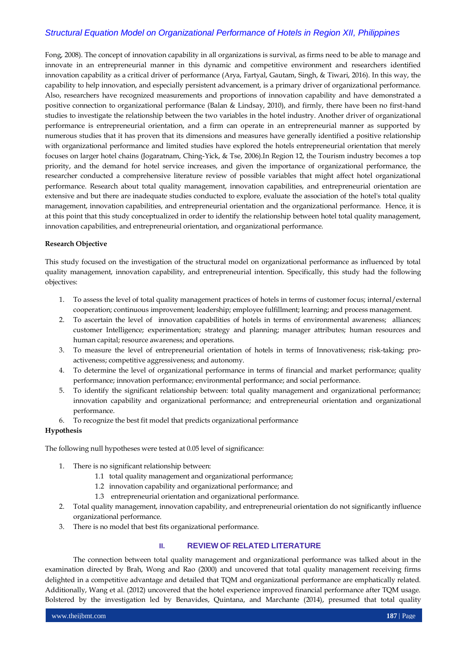Fong, 2008). The concept of innovation capability in all organizations is survival, as firms need to be able to manage and innovate in an entrepreneurial manner in this dynamic and competitive environment and researchers identified innovation capability as a critical driver of performance (Arya, Fartyal, Gautam, Singh, & Tiwari, 2016). In this way, the capability to help innovation, and especially persistent advancement, is a primary driver of organizational performance. Also, researchers have recognized measurements and proportions of innovation capability and have demonstrated a positive connection to organizational performance (Balan & Lindsay, 2010), and firmly, there have been no first-hand studies to investigate the relationship between the two variables in the hotel industry. Another driver of organizational performance is entrepreneurial orientation, and a firm can operate in an entrepreneurial manner as supported by numerous studies that it has proven that its dimensions and measures have generally identified a positive relationship with organizational performance and limited studies have explored the hotels entrepreneurial orientation that merely focuses on larger hotel chains (Jogaratnam, Ching-Yick, & Tse, 2006).In Region 12, the Tourism industry becomes a top priority, and the demand for hotel service increases, and given the importance of organizational performance, the researcher conducted a comprehensive literature review of possible variables that might affect hotel organizational performance. Research about total quality management, innovation capabilities, and entrepreneurial orientation are extensive and but there are inadequate studies conducted to explore, evaluate the association of the hotel's total quality management, innovation capabilities, and entrepreneurial orientation and the organizational performance. Hence, it is at this point that this study conceptualized in order to identify the relationship between hotel total quality management, innovation capabilities, and entrepreneurial orientation, and organizational performance.

### **Research Objective**

This study focused on the investigation of the structural model on organizational performance as influenced by total quality management, innovation capability, and entrepreneurial intention. Specifically, this study had the following objectives:

- 1. To assess the level of total quality management practices of hotels in terms of customer focus; internal/external cooperation; continuous improvement; leadership; employee fulfillment; learning; and process management.
- 2. To ascertain the level of innovation capabilities of hotels in terms of environmental awareness; alliances; customer Intelligence; experimentation; strategy and planning; manager attributes; human resources and human capital; resource awareness; and operations.
- 3. To measure the level of entrepreneurial orientation of hotels in terms of Innovativeness; risk-taking; proactiveness; competitive aggressiveness; and autonomy.
- 4. To determine the level of organizational performance in terms of financial and market performance; quality performance; innovation performance; environmental performance; and social performance.
- 5. To identify the significant relationship between: total quality management and organizational performance; innovation capability and organizational performance; and entrepreneurial orientation and organizational performance.
- 6. To recognize the best fit model that predicts organizational performance

### **Hypothesis**

The following null hypotheses were tested at 0.05 level of significance:

- 1. There is no significant relationship between:
	- 1.1 total quality management and organizational performance;
	- 1.2 innovation capability and organizational performance; and
	- 1.3 entrepreneurial orientation and organizational performance.
- 2. Total quality management, innovation capability, and entrepreneurial orientation do not significantly influence organizational performance.
- 3. There is no model that best fits organizational performance.

### **II. REVIEW OF RELATED LITERATURE**

The connection between total quality management and organizational performance was talked about in the examination directed by Brah, Wong and Rao (2000) and uncovered that total quality management receiving firms delighted in a competitive advantage and detailed that TQM and organizational performance are emphatically related. Additionally, Wang et al. (2012) uncovered that the hotel experience improved financial performance after TQM usage. Bolstered by the investigation led by Benavides, Quintana, and Marchante (2014), presumed that total quality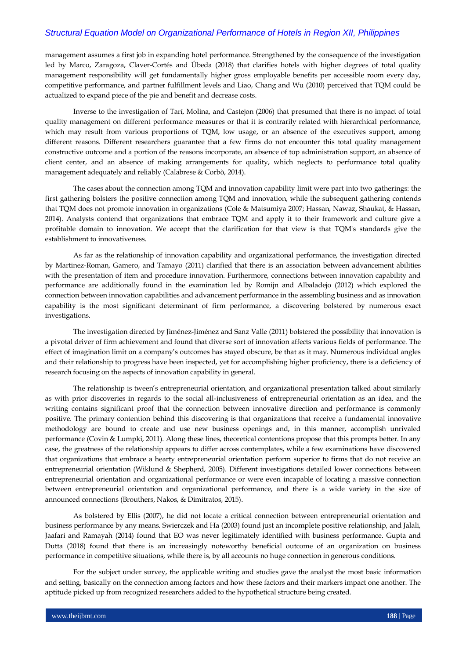management assumes a first job in expanding hotel performance. Strengthened by the consequence of the investigation led by Marco, Zaragoza, Claver-Cortés and Úbeda (2018) that clarifies hotels with higher degrees of total quality management responsibility will get fundamentally higher gross employable benefits per accessible room every day, competitive performance, and partner fulfillment levels and Liao, Chang and Wu (2010) perceived that TQM could be actualized to expand piece of the pie and benefit and decrease costs.

Inverse to the investigation of Tarí, Molina, and Castejon (2006) that presumed that there is no impact of total quality management on different performance measures or that it is contrarily related with hierarchical performance, which may result from various proportions of TQM, low usage, or an absence of the executives support, among different reasons. Different researchers guarantee that a few firms do not encounter this total quality management constructive outcome and a portion of the reasons incorporate, an absence of top administration support, an absence of client center, and an absence of making arrangements for quality, which neglects to performance total quality management adequately and reliably (Calabrese & Corbò, 2014).

The cases about the connection among TQM and innovation capability limit were part into two gatherings: the first gathering bolsters the positive connection among TQM and innovation, while the subsequent gathering contends that TQM does not promote innovation in organizations (Cole & Matsumiya 2007; Hassan, Nawaz, Shaukat, & Hassan, 2014). Analysts contend that organizations that embrace TQM and apply it to their framework and culture give a profitable domain to innovation. We accept that the clarification for that view is that TQM's standards give the establishment to innovativeness.

As far as the relationship of innovation capability and organizational performance, the investigation directed by Martinez-Roman, Gamero, and Tamayo (2011) clarified that there is an association between advancement abilities with the presentation of item and procedure innovation. Furthermore, connections between innovation capability and performance are additionally found in the examination led by Romijn and Albaladejo (2012) which explored the connection between innovation capabilities and advancement performance in the assembling business and as innovation capability is the most significant determinant of firm performance, a discovering bolstered by numerous exact investigations.

The investigation directed by Jiménez-Jiménez and Sanz Valle (2011) bolstered the possibility that innovation is a pivotal driver of firm achievement and found that diverse sort of innovation affects various fields of performance. The effect of imagination limit on a company's outcomes has stayed obscure, be that as it may. Numerous individual angles and their relationship to progress have been inspected, yet for accomplishing higher proficiency, there is a deficiency of research focusing on the aspects of innovation capability in general.

The relationship is tween's entrepreneurial orientation, and organizational presentation talked about similarly as with prior discoveries in regards to the social all-inclusiveness of entrepreneurial orientation as an idea, and the writing contains significant proof that the connection between innovative direction and performance is commonly positive. The primary contention behind this discovering is that organizations that receive a fundamental innovative methodology are bound to create and use new business openings and, in this manner, accomplish unrivaled performance (Covin & Lumpki, 2011). Along these lines, theoretical contentions propose that this prompts better. In any case, the greatness of the relationship appears to differ across contemplates, while a few examinations have discovered that organizations that embrace a hearty entrepreneurial orientation perform superior to firms that do not receive an entrepreneurial orientation (Wiklund & Shepherd, 2005). Different investigations detailed lower connections between entrepreneurial orientation and organizational performance or were even incapable of locating a massive connection between entrepreneurial orientation and organizational performance, and there is a wide variety in the size of announced connections (Brouthers, Nakos, & Dimitratos, 2015).

As bolstered by Ellis (2007), he did not locate a critical connection between entrepreneurial orientation and business performance by any means. Swierczek and Ha (2003) found just an incomplete positive relationship, and Jalali, Jaafari and Ramayah (2014) found that EO was never legitimately identified with business performance. Gupta and Dutta (2018) found that there is an increasingly noteworthy beneficial outcome of an organization on business performance in competitive situations, while there is, by all accounts no huge connection in generous conditions.

For the subject under survey, the applicable writing and studies gave the analyst the most basic information and setting, basically on the connection among factors and how these factors and their markers impact one another. The aptitude picked up from recognized researchers added to the hypothetical structure being created.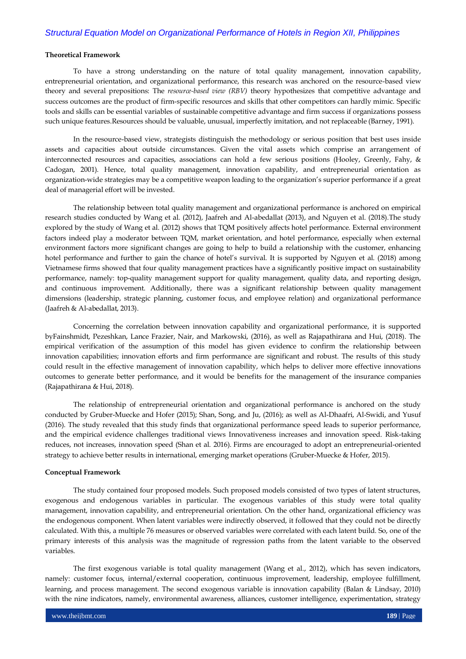### **Theoretical Framework**

To have a strong understanding on the nature of total quality management, innovation capability, entrepreneurial orientation, and organizational performance, this research was anchored on the resource-based view theory and several prepositions: The *resource-based view (RBV)* theory hypothesizes that competitive advantage and success outcomes are the product of firm-specific resources and skills that other competitors can hardly mimic. Specific tools and skills can be essential variables of sustainable competitive advantage and firm success if organizations possess such unique features.Resources should be valuable, unusual, imperfectly imitation, and not replaceable (Barney, 1991).

In the resource-based view, strategists distinguish the methodology or serious position that best uses inside assets and capacities about outside circumstances. Given the vital assets which comprise an arrangement of interconnected resources and capacities, associations can hold a few serious positions (Hooley, Greenly, Fahy, & Cadogan, 2001). Hence, total quality management, innovation capability, and entrepreneurial orientation as organization-wide strategies may be a competitive weapon leading to the organization's superior performance if a great deal of managerial effort will be invested.

The relationship between total quality management and organizational performance is anchored on empirical research studies conducted by Wang et al. (2012), Jaafreh and Al-abedallat (2013), and Nguyen et al. (2018).The study explored by the study of Wang et al. (2012) shows that TQM positively affects hotel performance. External environment factors indeed play a moderator between TQM, market orientation, and hotel performance, especially when external environment factors more significant changes are going to help to build a relationship with the customer, enhancing hotel performance and further to gain the chance of hotel's survival. It is supported by Nguyen et al. (2018) among Vietnamese firms showed that four quality management practices have a significantly positive impact on sustainability performance, namely: top-quality management support for quality management, quality data, and reporting design, and continuous improvement. Additionally, there was a significant relationship between quality management dimensions (leadership, strategic planning, customer focus, and employee relation) and organizational performance (Jaafreh & Al-abedallat, 2013).

Concerning the correlation between innovation capability and organizational performance, it is supported byFainshmidt, Pezeshkan, Lance Frazier, Nair, and Markowski, (2016), as well as Rajapathirana and Hui, (2018). The empirical verification of the assumption of this model has given evidence to confirm the relationship between innovation capabilities; innovation efforts and firm performance are significant and robust. The results of this study could result in the effective management of innovation capability, which helps to deliver more effective innovations outcomes to generate better performance, and it would be benefits for the management of the insurance companies (Rajapathirana & Hui, 2018).

The relationship of entrepreneurial orientation and organizational performance is anchored on the study conducted by Gruber-Muecke and Hofer (2015); Shan, Song, and Ju, (2016); as well as Al-Dhaafri, Al-Swidi, and Yusuf (2016). The study revealed that this study finds that organizational performance speed leads to superior performance, and the empirical evidence challenges traditional views Innovativeness increases and innovation speed. Risk-taking reduces, not increases, innovation speed (Shan et al. 2016). Firms are encouraged to adopt an entrepreneurial-oriented strategy to achieve better results in international, emerging market operations (Gruber-Muecke & Hofer, 2015).

#### **Conceptual Framework**

The study contained four proposed models. Such proposed models consisted of two types of latent structures, exogenous and endogenous variables in particular. The exogenous variables of this study were total quality management, innovation capability, and entrepreneurial orientation. On the other hand, organizational efficiency was the endogenous component. When latent variables were indirectly observed, it followed that they could not be directly calculated. With this, a multiple 76 measures or observed variables were correlated with each latent build. So, one of the primary interests of this analysis was the magnitude of regression paths from the latent variable to the observed variables.

The first exogenous variable is total quality management (Wang et al., 2012), which has seven indicators, namely: customer focus, internal/external cooperation, continuous improvement, leadership, employee fulfillment, learning, and process management. The second exogenous variable is innovation capability (Balan & Lindsay, 2010) with the nine indicators, namely, environmental awareness, alliances, customer intelligence, experimentation, strategy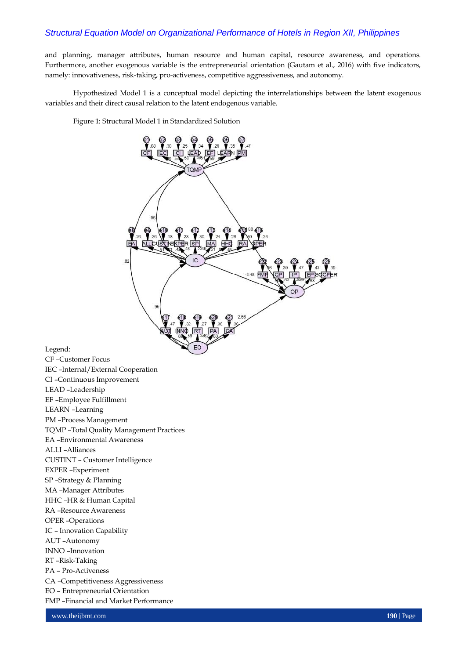and planning, manager attributes, human resource and human capital, resource awareness, and operations. Furthermore, another exogenous variable is the entrepreneurial orientation (Gautam et al., 2016) with five indicators, namely: innovativeness, risk-taking, pro-activeness, competitive aggressiveness, and autonomy.

Hypothesized Model 1 is a conceptual model depicting the interrelationships between the latent exogenous variables and their direct causal relation to the latent endogenous variable.

Figure 1: Structural Model 1 in Standardized Solution



Legend:

CF –Customer Focus IEC –Internal/External Cooperation CI –Continuous Improvement LEAD –Leadership EF –Employee Fulfillment LEARN –Learning PM –Process Management TQMP –Total Quality Management Practices EA –Environmental Awareness ALLI –Alliances CUSTINT – Customer Intelligence EXPER –Experiment SP –Strategy & Planning MA –Manager Attributes HHC –HR & Human Capital RA –Resource Awareness OPER –Operations IC – Innovation Capability AUT –Autonomy INNO –Innovation RT –Risk-Taking PA – Pro-Activeness CA –Competitiveness Aggressiveness EO – Entrepreneurial Orientation FMP –Financial and Market Performance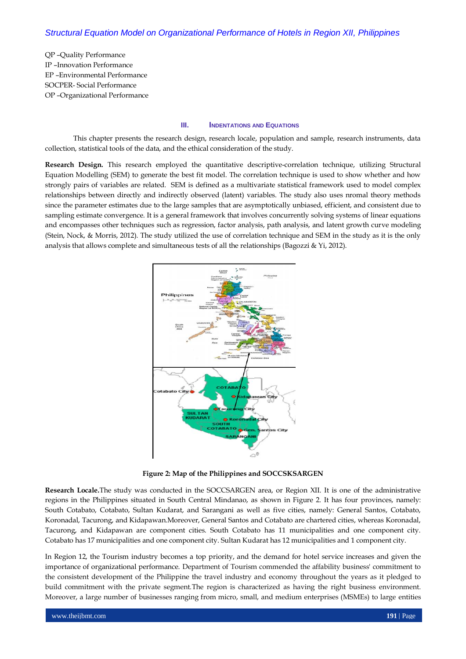QP –Quality Performance IP –Innovation Performance EP –Environmental Performance SOCPER- Social Performance OP –Organizational Performance

### **III. INDENTATIONS AND EQUATIONS**

This chapter presents the research design, research locale, population and sample, research instruments, data collection, statistical tools of the data, and the ethical consideration of the study.

**Research Design.** This research employed the quantitative descriptive-correlation technique, utilizing Structural Equation Modelling (SEM) to generate the best fit model. The correlation technique is used to show whether and how strongly pairs of variables are related. SEM is defined as a multivariate statistical framework used to model complex relationships between directly and indirectly observed (latent) variables. The study also uses nromal theory methods since the parameter estimates due to the large samples that are asymptotically unbiased, efficient, and consistent due to sampling estimate convergence. It is a general framework that involves concurrently solving systems of linear equations and encompasses other techniques such as regression, factor analysis, path analysis, and latent growth curve modeling (Stein, Nock, & Morris, 2012). The study utilized the use of correlation technique and SEM in the study as it is the only analysis that allows complete and simultaneous tests of all the relationships (Bagozzi & Yi, 2012).



**Figure 2: Map of the Philippines and SOCCSKSARGEN**

**Research Locale.**The study was conducted in the SOCCSARGEN area, or Region XII. It is one of the administrative regions in the Philippines situated in South Central Mindanao, as shown in Figure 2. It has four provinces, namely: South Cotabato, Cotabato, Sultan Kudarat, and Sarangani as well as five cities, namely: General Santos, Cotabato, Koronadal, Tacurong, and Kidapawan.Moreover, General Santos and Cotabato are chartered cities, whereas Koronadal, Tacurong, and Kidapawan are component cities. South Cotabato has 11 municipalities and one component city. Cotabato has 17 municipalities and one component city. Sultan Kudarat has 12 municipalities and 1 component city.

In Region 12, the Tourism industry becomes a top priority, and the demand for hotel service increases and given the importance of organizational performance. Department of Tourism commended the affability business' commitment to the consistent development of the Philippine the travel industry and economy throughout the years as it pledged to build commitment with the private segment.The region is characterized as having the right business environment. Moreover, a large number of businesses ranging from micro, small, and medium enterprises (MSMEs) to large entities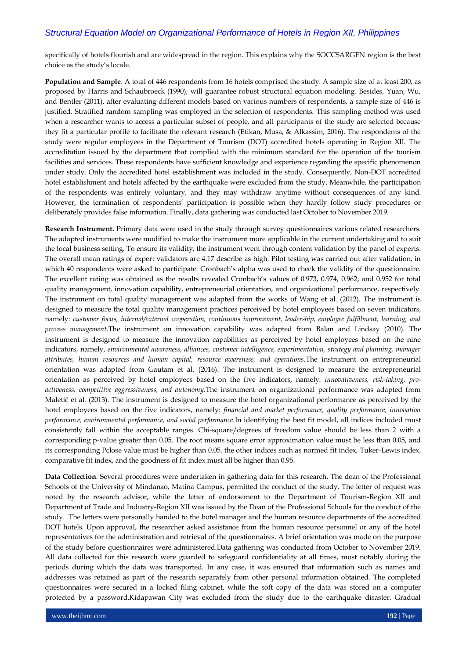specifically of hotels flourish and are widespread in the region. This explains why the SOCCSARGEN region is the best choice as the study's locale.

**Population and Sample**. A total of 446 respondents from 16 hotels comprised the study. A sample size of at least 200, as proposed by Harris and Schaubroeck (1990), will guarantee robust structural equation modeling. Besides, Yuan, Wu, and Bentler (2011), after evaluating different models based on various numbers of respondents, a sample size of 446 is justified. Stratified random sampling was employed in the selection of respondents. This sampling method was used when a researcher wants to access a particular subset of people, and all participants of the study are selected because they fit a particular profile to facilitate the relevant research (Etikan, Musa, & Alkassim, 2016). The respondents of the study were regular employees in the Department of Tourism (DOT) accredited hotels operating in Region XII. The accreditation issued by the department that complied with the minimum standard for the operation of the tourism facilities and services. These respondents have sufficient knowledge and experience regarding the specific phenomenon under study. Only the accredited hotel establishment was included in the study. Consequently, Non-DOT accredited hotel establishment and hotels affected by the earthquake were excluded from the study. Meanwhile, the participation of the respondents was entirely voluntary, and they may withdraw anytime without consequences of any kind. However, the termination of respondents' participation is possible when they hardly follow study procedures or deliberately provides false information. Finally, data gathering was conducted last October to November 2019.

**Research Instrument.** Primary data were used in the study through survey questionnaires various related researchers. The adapted instruments were modified to make the instrument more applicable in the current undertaking and to suit the local business setting. To ensure its validity, the instrument went through content validation by the panel of experts. The overall mean ratings of expert validators are 4.17 describe as high. Pilot testing was carried out after validation, in which 40 respondents were asked to participate. Cronbach's alpha was used to check the validity of the questionnaire. The excellent rating was obtained as the results revealed Cronbach's values of 0.973, 0.974, 0.962, and 0.952 for total quality management, innovation capability, entrepreneurial orientation, and organizational performance, respectively. The instrument on total quality management was adapted from the works of Wang et al. (2012). The instrument is designed to measure the total quality management practices perceived by hotel employees based on seven indicators, namely: *customer focus, internal/external cooperation, continuous improvement, leadership, employee fulfillment, learning, and process management.*The instrument on innovation capability was adapted from Balan and Lindsay (2010). The instrument is designed to measure the innovation capabilities as perceived by hotel employees based on the nine indicators, namely, *environmental awareness, alliances, customer intelligence, experimentation, strategy and planning, manager attributes, human resources and human capital, resource awareness, and operations.*The instrument on entrepreneurial orientation was adapted from Gautam et al. (2016). The instrument is designed to measure the entrepreneurial orientation as perceived by hotel employees based on the five indicators, namely: *innovativeness, risk-taking, proactiveness, competitive aggressiveness, and autonomy.*The instrument on organizational performance was adapted from Maletič et al. (2013). The instrument is designed to measure the hotel organizational performance as perceived by the hotel employees based on the five indicators, namely: *financial and market performance, quality performance, innovation performance, environmental performance, and social performance.*In identifying the best fit model, all indices included must consistently fall within the acceptable ranges. Chi-square/degrees of freedom value should be less than 2 with a corresponding p-value greater than 0.05. The root means square error approximation value must be less than 0.05, and its corresponding Pclose value must be higher than 0.05. the other indices such as normed fit index, Tuker-Lewis index, comparative fit index, and the goodness of fit index must all be higher than 0.95.

**Data Collection**. Several procedures were undertaken in gathering data for this research. The dean of the Professional Schools of the University of Mindanao, Matina Campus, permitted the conduct of the study. The letter of request was noted by the research advisor, while the letter of endorsement to the Department of Tourism-Region XII and Department of Trade and Industry-Region XII was issued by the Dean of the Professional Schools for the conduct of the study. The letters were personally handed to the hotel manager and the human resource departments of the accredited DOT hotels. Upon approval, the researcher asked assistance from the human resource personnel or any of the hotel representatives for the administration and retrieval of the questionnaires. A brief orientation was made on the purpose of the study before questionnaires were administered.Data gathering was conducted from October to November 2019. All data collected for this research were guarded to safeguard confidentiality at all times, most notably during the periods during which the data was transported. In any case, it was ensured that information such as names and addresses was retained as part of the research separately from other personal information obtained. The completed questionnaires were secured in a locked filing cabinet, while the soft copy of the data was stored on a computer protected by a password.Kidapawan City was excluded from the study due to the earthquake disaster. Gradual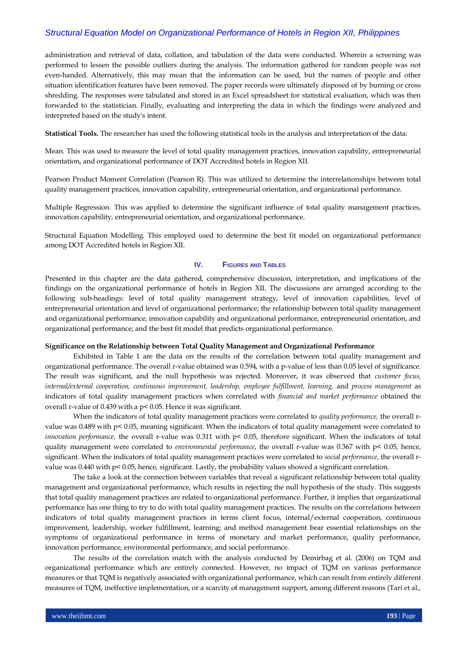administration and retrieval of data, collation, and tabulation of the data were conducted. Wherein a screening was performed to lessen the possible outliers during the analysis. The information gathered for random people was not even-handed. Alternatively, this may mean that the information can be used, but the names of people and other situation identification features have been removed. The paper records were ultimately disposed of by burning or cross shredding. The responses were tabulated and stored in an Excel spreadsheet for statistical evaluation, which was then forwarded to the statistician. Finally, evaluating and interpreting the data in which the findings were analyzed and interpreted based on the study's intent.

**Statistical Tools.** The researcher has used the following statistical tools in the analysis and interpretation of the data:

Mean. This was used to measure the level of total quality management practices, innovation capability, entrepreneurial orientation, and organizational performance of DOT Accredited hotels in Region XII.

Pearson Product Moment Correlation (Pearson R). This was utilized to determine the interrelationships between total quality management practices, innovation capability, entrepreneurial orientation, and organizational performance.

Multiple Regression. This was applied to determine the significant influence of total quality management practices, innovation capability, entrepreneurial orientation, and organizational performance.

Structural Equation Modelling. This employed used to determine the best fit model on organizational performance among DOT Accredited hotels in Region XII.

### **IV. FIGURES AND TABLES**

Presented in this chapter are the data gathered, comprehensive discussion, interpretation, and implications of the findings on the organizational performance of hotels in Region XII. The discussions are arranged according to the following sub-headings: level of total quality management strategy, level of innovation capabilities, level of entrepreneurial orientation and level of organizational performance; the relationship between total quality management and organizational performance, innovation capability and organizational performance, entrepreneurial orientation, and organizational performance; and the best fit model that predicts organizational performance.

### **Significance on the Relationship between Total Quality Management and Organizational Performance**

Exhibited in Table 1 are the data on the results of the correlation between total quality management and organizational performance. The overall r-value obtained was 0.594, with a p-value of less than 0.05 level of significance. The result was significant, and the null hypothesis was rejected. Moreover, it was observed that *customer focus, internal/external cooperation, continuous improvement, leadership, employee fulfillment, learning,* and *process management* as indicators of total quality management practices when correlated with *financial and market performance* obtained the overall r-value of 0.439 with a p< 0.05. Hence it was significant.

When the indicators of total quality management practices were correlated to *quality performance,* the overall rvalue was 0.489 with p< 0.05, meaning significant. When the indicators of total quality management were correlated to *innovation performance,* the overall r-value was 0.311 with p< 0.05, therefore significant. When the indicators of total quality management were correlated to *environmental performance*, the overall r-value was 0.367 with p< 0.05, hence, significant. When the indicators of total quality management practices were correlated to *social performance*, the overall rvalue was  $0.440$  with p<  $0.05$ , hence, significant. Lastly, the probability values showed a significant correlation.

The take a look at the connection between variables that reveal a significant relationship between total quality management and organizational performance, which results in rejecting the null hypothesis of the study. This suggests that total quality management practices are related to organizational performance. Further, it implies that organizational performance has one thing to try to do with total quality management practices. The results on the correlations between indicators of total quality management practices in terms client focus, internal/external cooperation, continuous improvement, leadership, worker fulfillment, learning; and method management bear essential relationships on the symptoms of organizational performance in terms of monetary and market performance, quality performance, innovation performance, environmental performance, and social performance.

The results of the correlation match with the analysis conducted by Demirbag et al. (2006) on TQM and organizational performance which are entirely connected. However, no impact of TQM on various performance measures or that TQM is negatively associated with organizational performance, which can result from entirely different measures of TQM, ineffective implementation, or a scarcity of management support, among different reasons (Tarí et al.,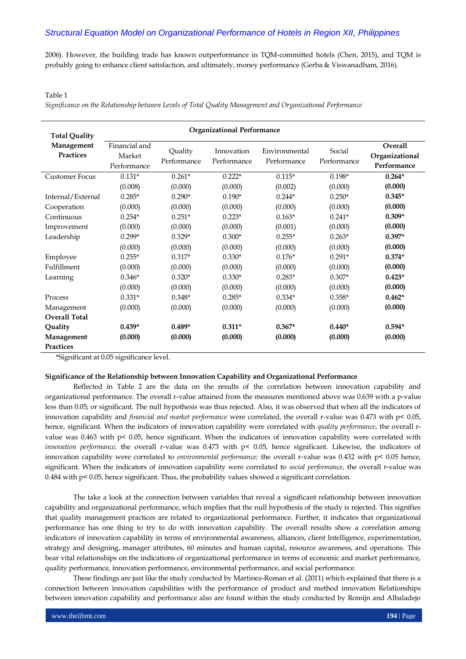2006). However, the building trade has known outperformance in TQM-committed hotels (Chen, 2015), and TQM is probably going to enhance client satisfaction, and ultimately, money performance (Gerba & Viswanadham, 2016).

### Table 1

*Significance on the Relationship between Levels of Total Quality Management and Organizational Performance*

| <b>Total Quality</b>           | <b>Organizational Performance</b>      |                        |                           |                              |                       |                                                 |  |  |
|--------------------------------|----------------------------------------|------------------------|---------------------------|------------------------------|-----------------------|-------------------------------------------------|--|--|
| Management<br><b>Practices</b> | Financial and<br>Market<br>Performance | Quality<br>Performance | Innovation<br>Performance | Environmental<br>Performance | Social<br>Performance | <b>Overall</b><br>Organizational<br>Performance |  |  |
| <b>Customer Focus</b>          | $0.131*$                               | $0.261*$               | $0.222*$                  | $0.115*$                     | $0.198*$              | $0.264*$                                        |  |  |
|                                | (0.008)                                | (0.000)                | (0.000)                   | (0.002)                      | (0.000)               | (0.000)                                         |  |  |
| Internal/External              | $0.285*$                               | $0.290*$               | $0.190*$                  | $0.244*$                     | $0.250*$              | $0.345*$                                        |  |  |
| Cooperation                    | (0.000)                                | (0.000)                | (0.000)                   | (0.000)                      | (0.000)               | (0.000)                                         |  |  |
| Continuous                     | $0.254*$                               | $0.251*$               | $0.223*$                  | $0.163*$                     | $0.241*$              | $0.309*$                                        |  |  |
| Improvement                    | (0.000)                                | (0.000)                | (0.000)                   | (0.001)                      | (0.000)               | (0.000)                                         |  |  |
| Leadership                     | $0.299*$                               | $0.329*$               | $0.300*$                  | $0.255*$                     | $0.263*$              | $0.397*$                                        |  |  |
|                                | (0.000)                                | (0.000)                | (0.000)                   | (0.000)                      | (0.000)               | (0.000)                                         |  |  |
| Employee                       | $0.255*$                               | $0.317*$               | $0.330*$                  | $0.176*$                     | $0.291*$              | $0.374*$                                        |  |  |
| Fulfillment                    | (0.000)                                | (0.000)                | (0.000)                   | (0.000)                      | (0.000)               | (0.000)                                         |  |  |
| Learning                       | $0.346*$                               | $0.320*$               | $0.330*$                  | $0.283*$                     | $0.307*$              | $0.423*$                                        |  |  |
|                                | (0.000)                                | (0.000)                | (0.000)                   | (0.000)                      | (0.000)               | (0.000)                                         |  |  |
| Process                        | $0.331*$                               | $0.348*$               | $0.285*$                  | $0.334*$                     | $0.358*$              | $0.462*$                                        |  |  |
| Management                     | (0.000)<br>(0.000)                     |                        | (0.000)                   | (0.000)                      | (0.000)               | (0.000)                                         |  |  |
| <b>Overall Total</b>           |                                        |                        |                           |                              |                       |                                                 |  |  |
| Quality                        | $0.439*$                               | $0.489*$               | $0.311*$                  | $0.367*$                     | $0.440*$              | $0.594*$                                        |  |  |
| Management                     | (0.000)                                | (0.000)                | (0.000)                   | (0.000)                      | (0.000)               | (0.000)                                         |  |  |
| <b>Practices</b>               |                                        |                        |                           |                              |                       |                                                 |  |  |

\*Significant at 0.05 significance level.

#### **Significance of the Relationship between Innovation Capability and Organizational Performance**

Reflected in Table 2 are the data on the results of the correlation between innovation capability and organizational performance. The overall r-value attained from the measures mentioned above was 0.639 with a p-value less than 0.05; or significant. The null hypothesis was thus rejected. Also, it was observed that when all the indicators of innovation capability and *financial and market performance* were correlated, the overall r-value was 0.473 with p< 0.05, hence, significant. When the indicators of innovation capability were correlated with *quality performance*, the overall rvalue was 0.463 with p< 0.05, hence significant. When the indicators of innovation capability were correlated with *innovation performance,* the overall r-value was 0.473 with p< 0.05, hence significant. Likewise, the indicators of innovation capability were correlated to *environmental performance;* the overall r-value was 0.432 with p< 0.05 hence, significant. When the indicators of innovation capability were correlated to *social performance*, the overall r-value was 0.484 with p< 0.05, hence significant. Thus, the probability values showed a significant correlation.

The take a look at the connection between variables that reveal a significant relationship between innovation capability and organizational performance, which implies that the null hypothesis of the study is rejected. This signifies that quality management practices are related to organizational performance. Further, it indicates that organizational performance has one thing to try to do with innovation capability. The overall results show a correlation among indicators of innovation capability in terms of environmental awareness, alliances, client Intelligence, experimentation, strategy and designing, manager attributes, 60 minutes and human capital, resource awareness, and operations. This bear vital relationships on the indications of organizational performance in terms of economic and market performance, quality performance, innovation performance, environmental performance, and social performance.

These findings are just like the study conducted by Martinez-Roman et al. (2011) which explained that there is a connection between innovation capabilities with the performance of product and method innovation Relationships between innovation capability and performance also are found within the study conducted by Romijn and Albaladejo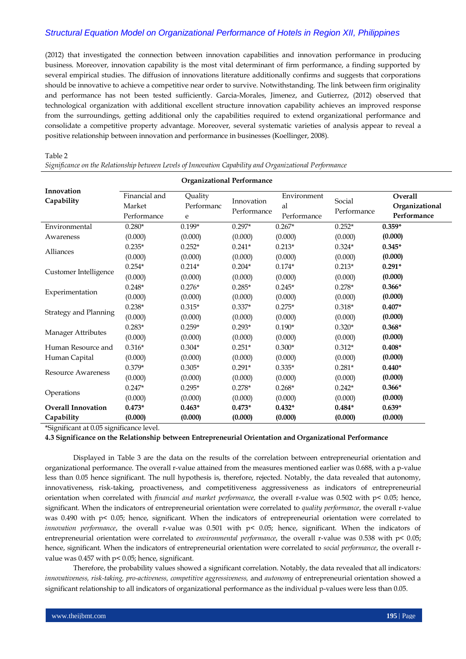(2012) that investigated the connection between innovation capabilities and innovation performance in producing business. Moreover, innovation capability is the most vital determinant of firm performance, a finding supported by several empirical studies. The diffusion of innovations literature additionally confirms and suggests that corporations should be innovative to achieve a competitive near order to survive. Notwithstanding. The link between firm originality and performance has not been tested sufficiently. Garcia-Morales, Jimenez, and Gutierrez, (2012) observed that technological organization with additional excellent structure innovation capability achieves an improved response from the surroundings, getting additional only the capabilities required to extend organizational performance and consolidate a competitive property advantage. Moreover, several systematic varieties of analysis appear to reveal a positive relationship between innovation and performance in businesses (Koellinger, 2008).

#### Table 2

*Significance on the Relationship between Levels of Innovation Capability and Organizational Performance*

|                              | <b>Organizational Performance</b>                                    |          |                           |                                  |                       |                                          |  |
|------------------------------|----------------------------------------------------------------------|----------|---------------------------|----------------------------------|-----------------------|------------------------------------------|--|
| Innovation<br>Capability     | Financial and<br>Quality<br>Performanc<br>Market<br>Performance<br>e |          | Innovation<br>Performance | Environment<br>al<br>Performance | Social<br>Performance | Overall<br>Organizational<br>Performance |  |
| Environmental                | $0.280*$                                                             | $0.199*$ | $0.297*$                  | $0.267*$                         | $0.252*$              | $0.359*$                                 |  |
| Awareness                    | (0.000)                                                              | (0.000)  | (0.000)                   | (0.000)                          | (0.000)               | (0.000)                                  |  |
| Alliances                    | $0.235*$                                                             | $0.252*$ | $0.241*$                  | $0.213*$                         | $0.324*$              | $0.345*$                                 |  |
|                              | (0.000)                                                              | (0.000)  | (0.000)                   | (0.000)                          | (0.000)               | (0.000)                                  |  |
| Customer Intelligence        | $0.254*$                                                             | $0.214*$ | $0.204*$                  | $0.174*$                         | $0.213*$              | $0.291*$                                 |  |
|                              | (0.000)                                                              | (0.000)  | (0.000)                   | (0.000)                          | (0.000)               | (0.000)                                  |  |
|                              | $0.248*$                                                             | $0.276*$ | $0.285*$                  | $0.245*$                         | $0.278*$              | $0.366*$                                 |  |
| Experimentation              | (0.000)                                                              | (0.000)  | (0.000)                   | (0.000)                          | (0.000)               | (0.000)                                  |  |
|                              | $0.238*$                                                             | $0.315*$ | $0.337*$                  | $0.275*$                         | $0.318*$              | $0.407*$                                 |  |
| <b>Strategy and Planning</b> | (0.000)                                                              | (0.000)  | (0.000)                   | (0.000)                          | (0.000)               | (0.000)                                  |  |
| Manager Attributes           | $0.283*$                                                             | $0.259*$ | $0.293*$                  | $0.190*$                         | $0.320*$              | $0.368*$                                 |  |
|                              | (0.000)                                                              | (0.000)  | (0.000)                   | (0.000)                          | (0.000)               | (0.000)                                  |  |
| Human Resource and           | $0.316*$                                                             | $0.304*$ | $0.251*$                  | $0.300*$                         | $0.312*$              | $0.408*$                                 |  |
| Human Capital                | (0.000)                                                              | (0.000)  | (0.000)                   | (0.000)                          | (0.000)               | (0.000)                                  |  |
| <b>Resource Awareness</b>    | $0.379*$                                                             | $0.305*$ | $0.291*$                  | $0.335*$                         | $0.281*$              | $0.440*$                                 |  |
|                              | (0.000)                                                              | (0.000)  | (0.000)                   | (0.000)                          | (0.000)               | (0.000)                                  |  |
|                              | $0.247*$                                                             | $0.295*$ | $0.278*$                  | $0.268*$                         | $0.242*$              | $0.366*$                                 |  |
| Operations                   | (0.000)                                                              | (0.000)  | (0.000)                   | (0.000)                          | (0.000)               | (0.000)                                  |  |
| <b>Overall Innovation</b>    | $0.473*$                                                             | $0.463*$ | $0.473*$                  | $0.432*$                         | $0.484*$              | $0.639*$                                 |  |
| Capability                   | (0.000)                                                              | (0.000)  | (0.000)                   | (0.000)                          | (0.000)               | (0.000)                                  |  |

\*Significant at 0.05 significance level.

**4.3 Significance on the Relationship between Entrepreneurial Orientation and Organizational Performance** 

Displayed in Table 3 are the data on the results of the correlation between entrepreneurial orientation and organizational performance. The overall r-value attained from the measures mentioned earlier was 0.688, with a p-value less than 0.05 hence significant. The null hypothesis is, therefore, rejected. Notably, the data revealed that autonomy, innovativeness, risk-taking, proactiveness, and competitiveness aggressiveness as indicators of entrepreneurial orientation when correlated with *financial and market performance*, the overall r-value was 0.502 with p< 0.05; hence, significant. When the indicators of entrepreneurial orientation were correlated to *quality performance*, the overall r-value was 0.490 with p< 0.05; hence, significant. When the indicators of entrepreneurial orientation were correlated to *innovation performance*, the overall r-value was 0.501 with p< 0.05; hence, significant. When the indicators of entrepreneurial orientation were correlated to *environmental performance*, the overall r-value was 0.538 with p< 0.05; hence, significant. When the indicators of entrepreneurial orientation were correlated to *social performance*, the overall rvalue was 0.457 with p< 0.05; hence, significant.

Therefore, the probability values showed a significant correlation. Notably, the data revealed that all indicators*: innovativeness, risk-taking, pro-activeness, competitive aggressiveness,* and *autonomy* of entrepreneurial orientation showed a significant relationship to all indicators of organizational performance as the individual p-values were less than 0.05.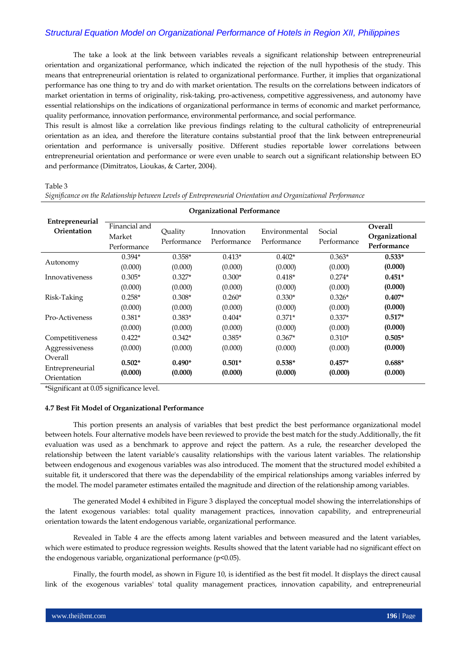The take a look at the link between variables reveals a significant relationship between entrepreneurial orientation and organizational performance, which indicated the rejection of the null hypothesis of the study. This means that entrepreneurial orientation is related to organizational performance. Further, it implies that organizational performance has one thing to try and do with market orientation. The results on the correlations between indicators of market orientation in terms of originality, risk-taking, pro-activeness, competitive aggressiveness, and autonomy have essential relationships on the indications of organizational performance in terms of economic and market performance, quality performance, innovation performance, environmental performance, and social performance.

This result is almost like a correlation like previous findings relating to the cultural catholicity of entrepreneurial orientation as an idea, and therefore the literature contains substantial proof that the link between entrepreneurial orientation and performance is universally positive. Different studies reportable lower correlations between entrepreneurial orientation and performance or were even unable to search out a significant relationship between EO and performance (Dimitratos, Lioukas, & Carter, 2004).

Table 3

|                                           | <b>Organizational Performance</b>      |                        |                           |                              |                       |                                                 |  |  |
|-------------------------------------------|----------------------------------------|------------------------|---------------------------|------------------------------|-----------------------|-------------------------------------------------|--|--|
| Entrepreneurial<br>Orientation            | Financial and<br>Market<br>Performance | Quality<br>Performance | Innovation<br>Performance | Environmental<br>Performance | Social<br>Performance | <b>Overall</b><br>Organizational<br>Performance |  |  |
| Autonomy                                  | $0.394*$                               | $0.358*$               | $0.413*$                  | $0.402*$                     | $0.363*$              | $0.533*$                                        |  |  |
|                                           | (0.000)                                | (0.000)                | (0.000)                   | (0.000)                      | (0.000)               | (0.000)                                         |  |  |
| Innovativeness                            | $0.305*$                               | $0.327*$               | $0.300*$                  | $0.418*$                     | $0.274*$              | $0.451*$                                        |  |  |
|                                           | (0.000)                                | (0.000)                | (0.000)                   | (0.000)                      | (0.000)               | (0.000)                                         |  |  |
| Risk-Taking                               | $0.258*$                               | $0.308*$               | $0.260*$                  | $0.330*$                     | $0.326*$              | $0.407*$                                        |  |  |
|                                           | (0.000)                                | (0.000)                | (0.000)                   | (0.000)                      | (0.000)               | (0.000)                                         |  |  |
| Pro-Activeness                            | $0.381*$                               | $0.383*$               | $0.404*$                  | $0.371*$                     | $0.337*$              | $0.517*$                                        |  |  |
|                                           | (0.000)                                | (0.000)                | (0.000)                   | (0.000)                      | (0.000)               | (0.000)                                         |  |  |
| Competitiveness                           | $0.422*$                               | $0.342*$               | $0.385*$                  | $0.367*$                     | $0.310*$              | $0.505*$                                        |  |  |
| Aggressiveness                            | (0.000)                                | (0.000)                | (0.000)                   | (0.000)                      | (0.000)               | (0.000)                                         |  |  |
| Overall<br>Entrepreneurial<br>Orientation | $0.502*$<br>(0.000)                    | $0.490*$<br>(0.000)    | $0.501*$<br>(0.000)       | $0.538*$<br>(0.000)          | $0.457*$<br>(0.000)   | $0.688*$<br>(0.000)                             |  |  |

*Significance on the Relationship between Levels of Entrepreneurial Orientation and Organizational Performance*

\*Significant at 0.05 significance level.

### **4.7 Best Fit Model of Organizational Performance**

This portion presents an analysis of variables that best predict the best performance organizational model between hotels. Four alternative models have been reviewed to provide the best match for the study.Additionally, the fit evaluation was used as a benchmark to approve and reject the pattern. As a rule, the researcher developed the relationship between the latent variable's causality relationships with the various latent variables. The relationship between endogenous and exogenous variables was also introduced. The moment that the structured model exhibited a suitable fit, it underscored that there was the dependability of the empirical relationships among variables inferred by the model. The model parameter estimates entailed the magnitude and direction of the relationship among variables.

The generated Model 4 exhibited in Figure 3 displayed the conceptual model showing the interrelationships of the latent exogenous variables: total quality management practices, innovation capability, and entrepreneurial orientation towards the latent endogenous variable, organizational performance.

Revealed in Table 4 are the effects among latent variables and between measured and the latent variables, which were estimated to produce regression weights. Results showed that the latent variable had no significant effect on the endogenous variable, organizational performance (p<0.05).

Finally, the fourth model, as shown in Figure 10, is identified as the best fit model. It displays the direct causal link of the exogenous variables' total quality management practices, innovation capability, and entrepreneurial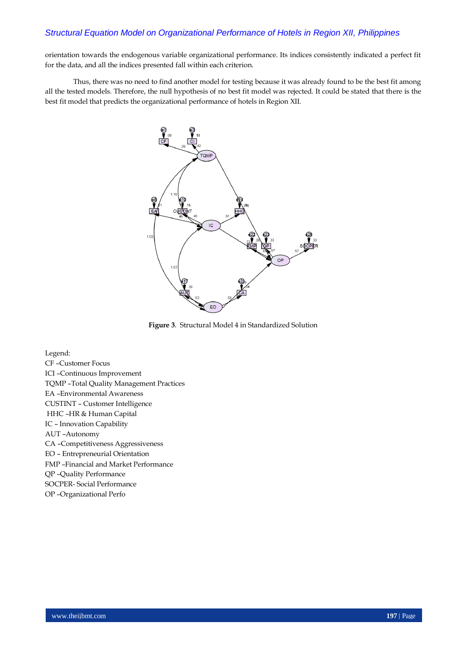orientation towards the endogenous variable organizational performance. Its indices consistently indicated a perfect fit for the data, and all the indices presented fall within each criterion.

Thus, there was no need to find another model for testing because it was already found to be the best fit among all the tested models. Therefore, the null hypothesis of no best fit model was rejected. It could be stated that there is the best fit model that predicts the organizational performance of hotels in Region XII.



**Figure 3**. Structural Model 4 in Standardized Solution

Legend:

CF –Customer Focus ICI –Continuous Improvement TQMP –Total Quality Management Practices EA –Environmental Awareness CUSTINT – Customer Intelligence HHC –HR & Human Capital IC – Innovation Capability AUT –Autonomy CA –Competitiveness Aggressiveness EO – Entrepreneurial Orientation FMP –Financial and Market Performance QP –Quality Performance SOCPER- Social Performance OP –Organizational Perfo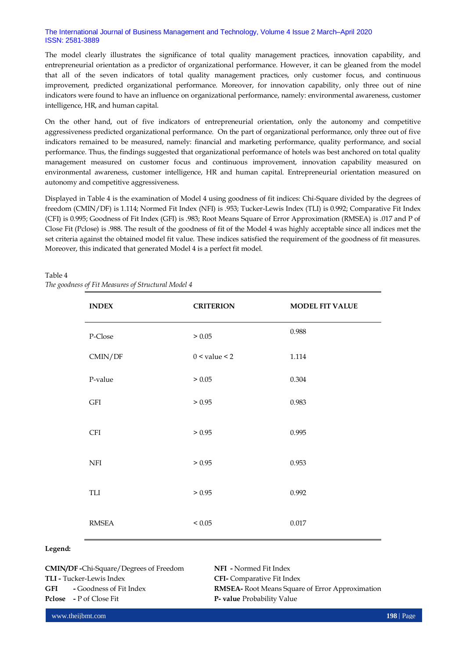### The International Journal of Business Management and Technology, Volume 4 Issue 2 March–April 2020 ISSN: 2581-3889

The model clearly illustrates the significance of total quality management practices, innovation capability, and entrepreneurial orientation as a predictor of organizational performance. However, it can be gleaned from the model that all of the seven indicators of total quality management practices, only customer focus, and continuous improvement, predicted organizational performance. Moreover, for innovation capability, only three out of nine indicators were found to have an influence on organizational performance, namely: environmental awareness, customer intelligence, HR, and human capital.

On the other hand, out of five indicators of entrepreneurial orientation, only the autonomy and competitive aggressiveness predicted organizational performance. On the part of organizational performance, only three out of five indicators remained to be measured, namely: financial and marketing performance, quality performance, and social performance. Thus, the findings suggested that organizational performance of hotels was best anchored on total quality management measured on customer focus and continuous improvement, innovation capability measured on environmental awareness, customer intelligence, HR and human capital. Entrepreneurial orientation measured on autonomy and competitive aggressiveness.

Displayed in Table 4 is the examination of Model 4 using goodness of fit indices: Chi-Square divided by the degrees of freedom (CMIN/DF) is 1.114; Normed Fit Index (NFI) is .953; Tucker-Lewis Index (TLI) is 0.992; Comparative Fit Index (CFI) is 0.995; Goodness of Fit Index (GFI) is .983; Root Means Square of Error Approximation (RMSEA) is .017 and P of Close Fit (Pclose) is .988. The result of the goodness of fit of the Model 4 was highly acceptable since all indices met the set criteria against the obtained model fit value. These indices satisfied the requirement of the goodness of fit measures. Moreover, this indicated that generated Model 4 is a perfect fit model.

| <b>INDEX</b> | <b>CRITERION</b>  | <b>MODEL FIT VALUE</b> |
|--------------|-------------------|------------------------|
| P-Close      | $\geq 0.05$       | 0.988                  |
| CMIN/DF      | $0 <$ value $<$ 2 | 1.114                  |
| P-value      | > 0.05            | 0.304                  |
| GFI          | > 0.95            | 0.983                  |
| <b>CFI</b>   | > 0.95            | 0.995                  |
| NFI          | > 0.95            | 0.953                  |
| TLI          | > 0.95            | 0.992                  |
| <b>RMSEA</b> | ${}< 0.05$        | $0.017\,$              |

# Table 4

*The goodness of Fit Measures of Structural Model 4*

### **Legend:**

| <b>CMIN/DF-Chi-Square/Degrees of Freedom</b> |                                    |  |  |  |  |
|----------------------------------------------|------------------------------------|--|--|--|--|
|                                              | <b>TLI -</b> Tucker-Lewis Index    |  |  |  |  |
|                                              | <b>GFI</b> - Goodness of Fit Index |  |  |  |  |
|                                              | <b>Pclose</b> - P of Close Fit     |  |  |  |  |

**NFI -** Normed Fit Index **CFI-** Comparative Fit Index **RMSEA-** Root Means Square of Error Approximation **P-** value Probability Value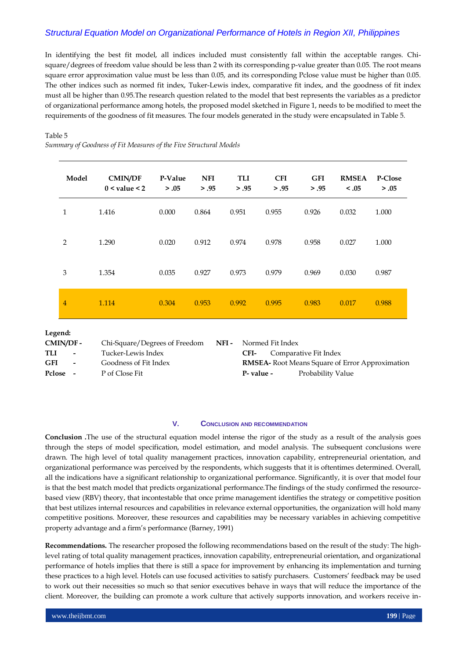In identifying the best fit model, all indices included must consistently fall within the acceptable ranges. Chisquare/degrees of freedom value should be less than 2 with its corresponding p-value greater than 0.05. The root means square error approximation value must be less than 0.05, and its corresponding Pclose value must be higher than 0.05. The other indices such as normed fit index, Tuker-Lewis index, comparative fit index, and the goodness of fit index must all be higher than 0.95.The research question related to the model that best represents the variables as a predictor of organizational performance among hotels, the proposed model sketched in Figure 1, needs to be modified to meet the requirements of the goodness of fit measures. The four models generated in the study were encapsulated in Table 5.

### Table 5

*Summary of Goodness of Fit Measures of the Five Structural Models*

| Model          | <b>CMIN/DF</b><br>$0 <$ value $<$ 2 | P-Value<br>> .05 | <b>NFI</b><br>> .95 | <b>TLI</b><br>> .95 | <b>CFI</b><br>> .95 | <b>GFI</b><br>> .95 | <b>RMSEA</b><br>< .05 | P-Close<br>> .05 |
|----------------|-------------------------------------|------------------|---------------------|---------------------|---------------------|---------------------|-----------------------|------------------|
| $\mathbf{1}$   | 1.416                               | 0.000            | 0.864               | 0.951               | 0.955               | 0.926               | 0.032                 | 1.000            |
| 2              | 1.290                               | 0.020            | 0.912               | 0.974               | 0.978               | 0.958               | 0.027                 | 1.000            |
| 3              | 1.354                               | 0.035            | 0.927               | 0.973               | 0.979               | 0.969               | 0.030                 | 0.987            |
| $\overline{4}$ | 1.114                               | 0.304            | 0.953               | 0.992               | 0.995               | 0.983               | 0.017                 | 0.988            |
|                |                                     |                  |                     |                     |                     |                     |                       |                  |

### **Legend:**

| CMIN/DF - |                          | Chi-Square/Degrees of Freedom | NFI - |            | Normed Fit Index |                                                        |  |
|-----------|--------------------------|-------------------------------|-------|------------|------------------|--------------------------------------------------------|--|
| TLI       | $\overline{\phantom{a}}$ | Tucker-Lewis Index            |       | CFI-       |                  | Comparative Fit Index                                  |  |
| GFI       | $\sim$                   | Goodness of Fit Index         |       |            |                  | <b>RMSEA-</b> Root Means Square of Error Approximation |  |
| Pclose -  |                          | P of Close Fit                |       | P- value - |                  | Probability Value                                      |  |

### **V. CONCLUSION AND RECOMMENDATION**

**Conclusion .**The use of the structural equation model intense the rigor of the study as a result of the analysis goes through the steps of model specification, model estimation, and model analysis. The subsequent conclusions were drawn. The high level of total quality management practices, innovation capability, entrepreneurial orientation, and organizational performance was perceived by the respondents, which suggests that it is oftentimes determined. Overall, all the indications have a significant relationship to organizational performance. Significantly, it is over that model four is that the best match model that predicts organizational performance.The findings of the study confirmed the resourcebased view (RBV) theory, that incontestable that once prime management identifies the strategy or competitive position that best utilizes internal resources and capabilities in relevance external opportunities, the organization will hold many competitive positions. Moreover, these resources and capabilities may be necessary variables in achieving competitive property advantage and a firm's performance (Barney, 1991)

**Recommendations.** The researcher proposed the following recommendations based on the result of the study: The highlevel rating of total quality management practices, innovation capability, entrepreneurial orientation, and organizational performance of hotels implies that there is still a space for improvement by enhancing its implementation and turning these practices to a high level. Hotels can use focused activities to satisfy purchasers. Customers' feedback may be used to work out their necessities so much so that senior executives behave in ways that will reduce the importance of the client. Moreover, the building can promote a work culture that actively supports innovation, and workers receive in-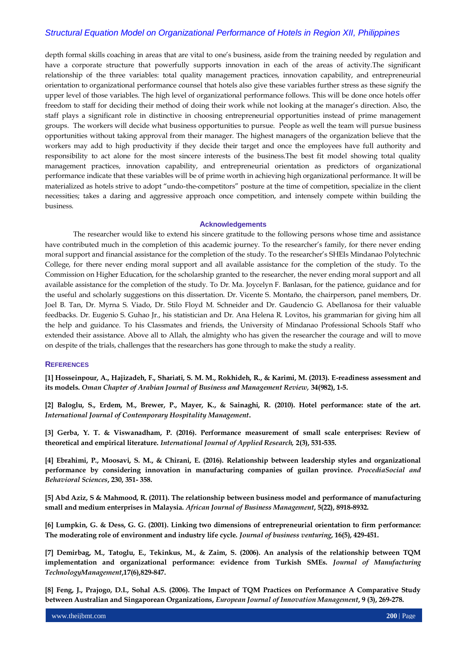depth formal skills coaching in areas that are vital to one's business, aside from the training needed by regulation and have a corporate structure that powerfully supports innovation in each of the areas of activity.The significant relationship of the three variables: total quality management practices, innovation capability, and entrepreneurial orientation to organizational performance counsel that hotels also give these variables further stress as these signify the upper level of those variables. The high level of organizational performance follows. This will be done once hotels offer freedom to staff for deciding their method of doing their work while not looking at the manager's direction. Also, the staff plays a significant role in distinctive in choosing entrepreneurial opportunities instead of prime management groups. The workers will decide what business opportunities to pursue. People as well the team will pursue business opportunities without taking approval from their manager. The highest managers of the organization believe that the workers may add to high productivity if they decide their target and once the employees have full authority and responsibility to act alone for the most sincere interests of the business.The best fit model showing total quality management practices, innovation capability, and entrepreneurial orientation as predictors of organizational performance indicate that these variables will be of prime worth in achieving high organizational performance. It will be materialized as hotels strive to adopt "undo-the-competitors" posture at the time of competition, specialize in the client necessities; takes a daring and aggressive approach once competition, and intensely compete within building the business.

#### **Acknowledgements**

The researcher would like to extend his sincere gratitude to the following persons whose time and assistance have contributed much in the completion of this academic journey. To the researcher's family, for there never ending moral support and financial assistance for the completion of the study. To the researcher's SHEIs Mindanao Polytechnic College, for there never ending moral support and all available assistance for the completion of the study. To the Commission on Higher Education, for the scholarship granted to the researcher, the never ending moral support and all available assistance for the completion of the study. To Dr. Ma. Joycelyn F. Banlasan, for the patience, guidance and for the useful and scholarly suggestions on this dissertation. Dr. Vicente S. Montaño, the chairperson, panel members, Dr. Joel B. Tan, Dr. Myrna S. Viado, Dr. Stilo Floyd M. Schneider and Dr. Gaudencio G. Abellanosa for their valuable feedbacks. Dr. Eugenio S. Guhao Jr., his statistician and Dr. Ana Helena R. Lovitos, his grammarian for giving him all the help and guidance. To his Classmates and friends, the University of Mindanao Professional Schools Staff who extended their assistance. Above all to Allah, the almighty who has given the researcher the courage and will to move on despite of the trials, challenges that the researchers has gone through to make the study a reality.

### **REFERENCES**

**[1] Hosseinpour, A., Hajizadeh, F., Shariati, S. M. M., Rokhideh, R., & Karimi, M. (2013). E-readiness assessment and its models.** *Oman Chapter of Arabian Journal of Business and Management Review,* **34(982), 1-5.**

**[2] Baloglu, S., Erdem, M., Brewer, P., Mayer, K., & Sainaghi, R. (2010). Hotel performance: state of the art.**  *International Journal of Contemporary Hospitality Management***.** 

**[3] Gerba, Y. T. & Viswanadham, P. (2016). Performance measurement of small scale enterprises: Review of theoretical and empirical literature.** *International Journal of Applied Research,* **2(3), 531-535.** 

**[4] Ebrahimi, P., Moosavi, S. M., & Chirani, E. (2016). Relationship between leadership styles and organizational performance by considering innovation in manufacturing companies of guilan province.** *ProcediaSocial and Behavioral Sciences***, 230, 351- 358.**

**[5] Abd Aziz, S & Mahmood, R. (2011). The relationship between business model and performance of manufacturing small and medium enterprises in Malaysia.** *African Journal of Business Management***, 5(22), 8918-8932.** 

**[6] Lumpkin, G. & Dess, G. G. (2001). Linking two dimensions of entrepreneurial orientation to firm performance: The moderating role of environment and industry life cycle.** *Journal of business venturing***, 16(5), 429-451.**

**[7] Demirbag, M., Tatoglu, E., Tekinkus, M., & Zaim, S. (2006). An analysis of the relationship between TQM implementation and organizational performance: evidence from Turkish SMEs.** *Journal of Manufacturing TechnologyManagement***,17(6),829-847.** 

**[8] Feng, J., Prajogo, D.I., Sohal A.S. (2006). The Impact of TQM Practices on Performance A Comparative Study between Australian and Singaporean Organizations,** *European Journal of Innovation Management***, 9 (3), 269-278.**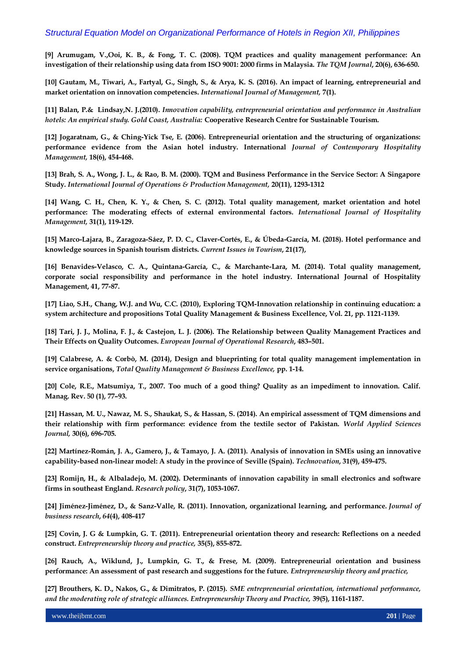**[9] Arumugam, V.,Ooi, K. B., & Fong, T. C. (2008). TQM practices and quality management performance: An investigation of their relationship using data from ISO 9001: 2000 firms in Malaysia.** *The TQM Journal***, 20(6), 636-650.**

**[10] Gautam, M., Tiwari, A., Fartyal, G., Singh, S., & Arya, K. S. (2016). An impact of learning, entrepreneurial and market orientation on innovation competencies.** *International Journal of Management,* **7(1).**

**[11] Balan, P.& Lindsay,N. J.(2010).** *Innovation capability, entrepreneurial orientation and performance in Australian hotels: An empirical study. Gold Coast, Australia:* **Cooperative Research Centre for Sustainable Tourism.**

**[12] Jogaratnam, G., & Ching-Yick Tse, E. (2006). Entrepreneurial orientation and the structuring of organizations: performance evidence from the Asian hotel industry. International** *Journal of Contemporary Hospitality Management,* **18(6), 454-468.**

**[13] Brah, S. A., Wong, J. L., & Rao, B. M. (2000). TQM and Business Performance in the Service Sector: A Singapore Study.** *International Journal of Operations & Production Management,* **20(11), 1293-1312**

**[14] Wang, C. H., Chen, K. Y., & Chen, S. C. (2012). Total quality management, market orientation and hotel performance: The moderating effects of external environmental factors.** *International Journal of Hospitality Management,* **31(1), 119-129.**

**[15] Marco-Lajara, B., Zaragoza-Sáez, P. D. C., Claver-Cortés, E., & Úbeda-García, M. (2018). Hotel performance and knowledge sources in Spanish tourism districts.** *Current Issues in Tourism***, 21(17),**

**[16] Benavides-Velasco, C. A., Quintana-García, C., & Marchante-Lara, M. (2014). Total quality management, corporate social responsibility and performance in the hotel industry. International Journal of Hospitality Management, 41, 77-87.**

**[17] Liao, S.H., Chang, W.J. and Wu, C.C. (2010), Exploring TQM-Innovation relationship in continuing education: a system architecture and propositions Total Quality Management & Business Excellence, Vol. 21, pp. 1121-1139.**

**[18] Tari, J. J., Molina, F. J., & Castejon, L. J. (2006). The Relationship between Quality Management Practices and Their Effects on Quality Outcomes.** *European Journal of Operational Research***, 483–501.**

**[19] Calabrese, A. & Corbò, M. (2014), Design and blueprinting for total quality management implementation in service organisations,** *Total Quality Management & Business Excellence,* **pp. 1-14.**

**[20] Cole, R.E., Matsumiya, T., 2007. Too much of a good thing? Quality as an impediment to innovation. Calif. Manag. Rev. 50 (1), 77–93.** 

**[21] Hassan, M. U., Nawaz, M. S., Shaukat, S., & Hassan, S. (2014). An empirical assessment of TQM dimensions and their relationship with firm performance: evidence from the textile sector of Pakistan.** *World Applied Sciences Journal,* **30(6), 696-705.**

**[22] Martínez-Román, J. A., Gamero, J., & Tamayo, J. A. (2011). Analysis of innovation in SMEs using an innovative capability-based non-linear model: A study in the province of Seville (Spain).** *Technovation***, 31(9), 459-475.**

**[23] Romijn, H., & Albaladejo, M. (2002). Determinants of innovation capability in small electronics and software firms in southeast England.** *Research policy***, 31(7), 1053-1067.**

**[24] Jiménez-Jiménez, D., & Sanz-Valle, R. (2011). Innovation, organizational learning, and performance.** *Journal of business research***,** *64***(4), 408-417**

**[25] Covin, J. G & Lumpkin, G. T. (2011). Entrepreneurial orientation theory and research: Reflections on a needed construct.** *Entrepreneurship theory and practice,* **35(5), 855-872.**

**[26] Rauch, A., Wiklund, J., Lumpkin, G. T., & Frese, M. (2009). Entrepreneurial orientation and business performance: An assessment of past research and suggestions for the future.** *Entrepreneurship theory and practice,*

**[27] Brouthers, K. D., Nakos, G., & Dimitratos, P. (2015).** *SME entrepreneurial orientation, international performance, and the moderating role of strategic alliances. Entrepreneurship Theory and Practice,* **39(5), 1161-1187.**

www.theijbmt.com **201** | Page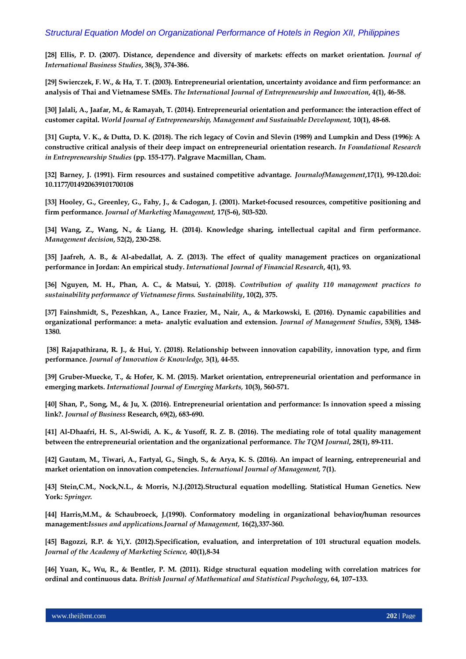**[28] Ellis, P. D. (2007). Distance, dependence and diversity of markets: effects on market orientation.** *Journal of International Business Studies***, 38(3), 374-386.**

**[29] Swierczek, F. W., & Ha, T. T. (2003). Entrepreneurial orientation, uncertainty avoidance and firm performance: an analysis of Thai and Vietnamese SMEs.** *The International Journal of Entrepreneurship and Innovation***, 4(1), 46-58.**

**[30] Jalali, A., Jaafar, M., & Ramayah, T. (2014). Entrepreneurial orientation and performance: the interaction effect of customer capital.** *World Journal of Entrepreneurship, Management and Sustainable Development,* **10(1), 48-68.**

**[31] Gupta, V. K., & Dutta, D. K. (2018). The rich legacy of Covin and Slevin (1989) and Lumpkin and Dess (1996): A constructive critical analysis of their deep impact on entrepreneurial orientation research.** *In Foundational Research in Entrepreneurship Studies* **(pp. 155-177). Palgrave Macmillan, Cham.**

**[32] Barney, J. (1991). Firm resources and sustained competitive advantage.** *JournalofManagement***,17(1), 99-120.doi: 10.1177/014920639101700108** 

**[33] Hooley, G., Greenley, G., Fahy, J., & Cadogan, J. (2001). Market-focused resources, competitive positioning and firm performance.** *Journal of Marketing Management,* **17(5-6), 503-520.** 

**[34] Wang, Z., Wang, N., & Liang, H. (2014). Knowledge sharing, intellectual capital and firm performance***. Management decision***, 52(2), 230-258.**

**[35] Jaafreh, A. B., & Al-abedallat, A. Z. (2013). The effect of quality management practices on organizational performance in Jordan: An empirical study.** *International Journal of Financial Research***, 4(1), 93.** 

**[36] Nguyen, M. H., Phan, A. C., & Matsui, Y. (2018).** *Contribution of quality 110 management practices to sustainability performance of Vietnamese firms. Sustainability***, 10(2), 375.**

**[37] Fainshmidt, S., Pezeshkan, A., Lance Frazier, M., Nair, A., & Markowski, E. (2016). Dynamic capabilities and organizational performance: a meta**‐ **analytic evaluation and extension.** *Journal of Management Studies***, 53(8), 1348- 1380.**

**[38] Rajapathirana, R. J., & Hui, Y. (2018). Relationship between innovation capability, innovation type, and firm performance.** *Journal of Innovation & Knowledge,* **3(1), 44-55.**

**[39] Gruber-Muecke, T., & Hofer, K. M. (2015). Market orientation, entrepreneurial orientation and performance in emerging markets.** *International Journal of Emerging Markets,* **10(3), 560-571.**

**[40] Shan, P., Song, M., & Ju, X. (2016). Entrepreneurial orientation and performance: Is innovation speed a missing link?.** *Journal of Business* **Research, 69(2), 683-690.**

**[41] Al-Dhaafri, H. S., Al-Swidi, A. K., & Yusoff, R. Z. B. (2016). The mediating role of total quality management between the entrepreneurial orientation and the organizational performance.** *The TQM Journal***, 28(1), 89-111.**

**[42] Gautam, M., Tiwari, A., Fartyal, G., Singh, S., & Arya, K. S. (2016). An impact of learning, entrepreneurial and market orientation on innovation competencies.** *International Journal of Management,* **7(1).**

**[43] Stein,C.M., Nock,N.L., & Morris, N.J.(2012).Structural equation modelling. Statistical Human Genetics. New York:** *Springer.*

**[44] Harris,M.M., & Schaubroeck, J.(1990). Conformatory modeling in organizational behavior/human resources management:***Issues and applications.Journal of Management,* **16(2),337-360.** 

**[45] Bagozzi, R.P. & Yi,Y. (2012).Specification, evaluation, and interpretation of 101 structural equation models.**  *Journal of the Academy of Marketing Science,* **40(1),8-34**

**[46] Yuan, K., Wu, R., & Bentler, P. M. (2011). Ridge structural equation modeling with correlation matrices for ordinal and continuous data.** *British Journal of Mathematical and Statistical Psychology***, 64, 107–133.**